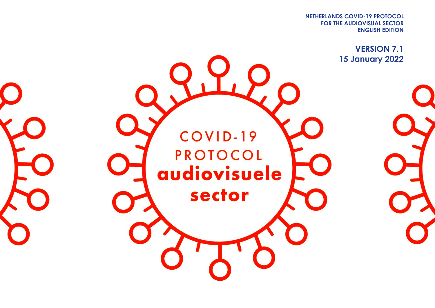**FOR THE AUDIOVISUAL SECTOR NETHERLANDS COVID-19 PROTOCOL ENGLISH EDITION**

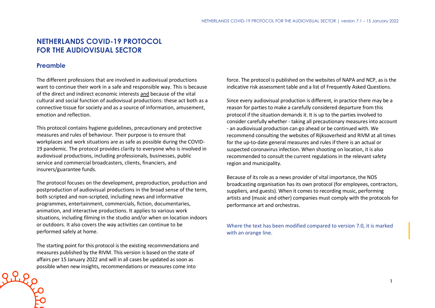# **NETHERLANDS COVID-19 PROTOCOL FOR THE AUDIOVISUAL SECTOR**

## **Preamble**

The different professions that are involved in audiovisual productions want to continue their work in a safe and responsible way. This is because of the direct and indirect economic interests and because of the vital cultural and social function of audiovisual productions: these act both as a connective tissue for society and as a source of information, amusement, emotion and reflection.

This protocol contains hygiene guidelines, precautionary and protective measures and rules of behaviour. Their purpose is to ensure that workplaces and work situations are as safe as possible during the COVID-19 pandemic. The protocol provides clarity to everyone who is involved in audiovisual productions, including professionals, businesses, public service and commercial broadcasters, clients, financiers, and insurers/guarantee funds.

The protocol focuses on the development, preproduction, production and postproduction of audiovisual productions in the broad sense of the term, both scripted and non-scripted, including news and informative programmes, entertainment, commercials, fiction, documentaries, animation, and interactive productions. It applies to various work situations, including filming in the studio and/or when on location indoors or outdoors. It also covers the way activities can continue to be performed safely at home.

The starting point for this protocol is the existing recommendations and measures published by the RIVM. This version is based on the state of affairs per 15 January 2022 and will in all cases be updated as soon as possible when new insights, recommendations or measures come into

force. The protocol is published on the websites of NAPA and NCP, as is the indicative risk assessment table and a list of Frequently Asked Questions.

Since every audiovisual production is different, in practice there may be a reason for parties to make a carefully considered departure from this protocol if the situation demands it. It is up to the parties involved to consider carefully whether - taking all precautionary measures into account - an audiovisual production can go ahead or be continued with. We recommend consulting the websites of Rijksoverheid and RIVM at all times for the up-to-date general measures and rules if there is an actual or suspected coronavirus infection. When shooting on location, it is also recommended to consult the current regulations in the relevant safety region and municipality.

Because of its role as a news provider of vital importance, the NOS broadcasting organisation has its own protocol (for employees, contractors, suppliers, and guests). When it comes to recording music, performing artists and (music and other) companies must comply with the protocols for performance art and orchestras.

Where the text has been modified compared to version 7.0, it is marked with an orange line.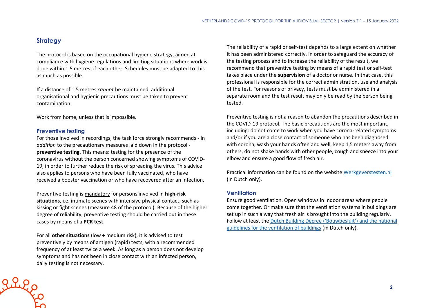## **Strategy**

The protocol is based on the occupational hygiene strategy, aimed at compliance with hygiene regulations and limiting situations where work is done within 1.5 metres of each other. Schedules must be adapted to this as much as possible.

If a distance of 1.5 metres *cannot* be maintained, additional organisational and hygienic precautions must be taken to prevent contamination.

Work from home, unless that is impossible.

#### **Preventive testing**

 $2220$ 

For those involved in recordings, the task force strongly recommends - in *addition* to the precautionary measures laid down in the protocol **preventive testing**. This means: testing for the presence of the coronavirus without the person concerned showing symptoms of COVID-19, in order to further reduce the risk of spreading the virus. This advice also applies to persons who have been fully vaccinated, who have received a booster vaccination or who have recovered after an infection.

Preventive testing is mandatory for persons involved in **high-risk situations**, i.e. intimate scenes with intensive physical contact, such as kissing or fight scenes (measure 48 of the protocol). Because of the higher degree of reliability, preventive testing should be carried out in these cases by means of a **PCR test**.

For all **other situations** (low + medium risk), it is advised to test preventively by means of antigen (rapid) tests, with a recommended frequency of at least twice a week. As long as a person does not develop symptoms and has not been in close contact with an infected person, daily testing is not necessary.

The reliability of a rapid or self-test depends to a large extent on whether it has been administered correctly. In order to safeguard the accuracy of the testing process and to increase the reliability of the result, we recommend that preventive testing by means of a rapid test or self-test takes place under the **supervision** of a doctor or nurse. In that case, this professional is responsible for the correct administration, use and analysis of the test. For reasons of privacy, tests must be administered in a separate room and the test result may only be read by the person being tested.

Preventive testing is not a reason to abandon the precautions described in the COVID-19 protocol. The basic precautions are the most important, including: do not come to work when you have corona-related symptoms and/or if you are a close contact of someone who has been diagnosed with corona, wash your hands often and well, keep 1,5 meters away from others, do not shake hands with other people, cough and sneeze into your elbow and ensure a good flow of fresh air.

Practical information can be found on the website [Werkgeverstesten.nl](https://www.werkgeverstesten.nl/) (in Dutch only).

#### **Ventilation**

Ensure good ventilation. Open windows in indoor areas where people come together. Or make sure that the ventilation systems in buildings are set up in such a way that fresh air is brought into the building regularly. Follow at least the [Dutch Building Decree \('Bouwbesluit'\) and the national](https://rijksoverheid.bouwbesluit.com/Inhoud/docs/wet/bb2012_nvt/artikelsgewijs/hfd3/afd3-6)  [guidelines for the ventilation of buildings](https://rijksoverheid.bouwbesluit.com/Inhoud/docs/wet/bb2012_nvt/artikelsgewijs/hfd3/afd3-6) (in Dutch only).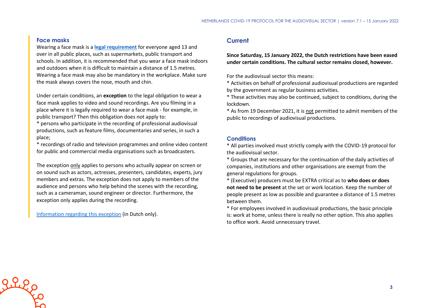#### **Face masks**

Wearing a face mask is a **[legal requirement](https://www.government.nl/topics/c/coronavirus-covid-19/face-masks-mandatory-in-several-places)** for everyone aged 13 and over in all public places, such as supermarkets, public transport and schools. In addition, it is recommended that you wear a face mask indoors and outdoors when it is difficult to maintain a distance of 1.5 metres. Wearing a face mask may also be mandatory in the workplace. Make sure the mask always covers the nose, mouth and chin.

Under certain conditions, an **exception** to the legal obligation to wear a face mask applies to video and sound recordings. Are you filming in a place where it is legally required to wear a face mask - for example, in public transport? Then this obligation does not apply to:

\* persons who participate in the recording of professional audiovisual productions, such as feature films, documentaries and series, in such a place;

\* recordings of radio and television programmes and online video content for public and commercial media organisations such as broadcasters.

The exception only applies to persons who actually appear on screen or on sound such as actors, actresses, presenters, candidates, experts, jury members and extras. The exception does not apply to members of the audience and persons who help behind the scenes with the recording, such as a cameraman, sound engineer or director. Furthermore, the exception only applies during the recording.

[Information regarding this exception](https://www.rijksoverheid.nl/onderwerpen/coronavirus-covid-19/mondkapjes/tijdens-het-werk) (in Dutch only).

## **Current**

**Since Saturday, 15 January 2022, the Dutch restrictions have been eased under certain conditions. The cultural sector remains closed, however.**

For the audiovisual sector this means:

\* Activities on behalf of professional audiovisual productions are regarded by the government as regular business activities.

\* These activities may also be continued, subject to conditions, during the lockdown.

\* As from 19 December 2021, it is not permitted to admit members of the public to recordings of audiovisual productions.

#### **Conditions**

\* All parties involved must strictly comply with the COVID-19 protocol for the audiovisual sector.

\* Groups that are necessary for the continuation of the daily activities of companies, institutions and other organisations are exempt from the general regulations for groups.

\* (Executive) producers must be EXTRA critical as to **who does or does not need to be present** at the set or work location. Keep the number of people present as low as possible and guarantee a distance of 1.5 metres between them.

\* For employees involved in audiovisual productions, the basic principle is: work at home, unless there is really no other option. This also applies to office work. Avoid unnecessary travel.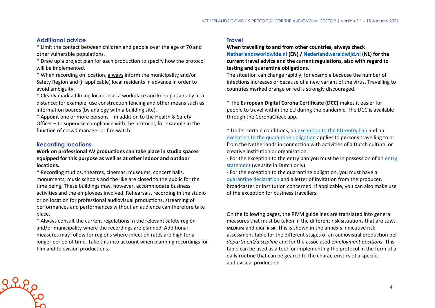#### **Additional advice**

\* Limit the contact between children and people over the age of 70 and other vulnerable populations.

\* Draw up a project plan for each production to specify how the protocol will be implemented.

\* When recording on location, always inform the municipality and/or Safety Region and (if applicable) local residents in advance in order to avoid ambiguity.

\* Clearly mark a filming location as a workplace and keep passers-by at a distance; for example, use construction fencing and other means such as information boards (by analogy with a building site).

\* Appoint one or more persons – in addition to the Health & Safety Officer – to supervise compliance with the protocol, for example in the function of crowd manager or fire watch.

#### **Recording locations**

**Work on professional AV productions can take place in studio spaces equipped for this purpose as well as at other indoor and outdoor locations.**

\* Recording studios, theatres, cinemas, museums, concert halls, monuments, music schools and the like are closed to the public for the time being. These buildings may, however, accommodate business activities and the employees involved. Rehearsals, recording in the studio or on location for professional audiovisual productions, streaming of performances and performances without an audience can therefore take place.

\* Always consult the current regulations in the relevant safety region and/or municipality where the recordings are planned. Additional measures may follow for regions where infection rates are high for a longer period of time. Take this into account when planning recordings for film and television productions.

#### **Travel**

**When travelling to and from other countries, always check [Netherlandsworldwide.nl](https://www.netherlandsworldwide.nl/) (EN) [/ Nederlandwereldwijd.nl](https://www.nederlandwereldwijd.nl/) (NL) for the current travel advice and the current regulations, also with regard to testing and quarantine obligations.**

The situation can change rapidly, for example because the number of infections increases or because of a new variant of the virus. Travelling to countries marked orange or red is strongly discouraged.

\* The **European Digital Corona Certificate (DCC)** makes it easier for people to travel within the EU during the pandemic. The DCC is available through the CoronaCheck app.

\* Under certain conditions, an [exception to the EU-entry ban](https://www.government.nl/topics/coronavirus-covid-19/visiting-the-netherlands-from-abroad/exemptions-to-the-entry-ban/professionals-in-the-cultural-and-creative-sectors) and an [exception to the quarantine obligation](https://www.government.nl/topics/coronavirus-covid-19/visiting-the-netherlands-from-abroad/self-quarantine/exceptions-mandatory-quarantine) applies to persons travelling to or from the Netherlands in connection with activities of a Dutch cultural or creative institution or organisation.

- For the exception to the [entry](https://www.inreisverklaringcultuur.nl/) ban you must be in possession of an entry [statement](https://www.inreisverklaringcultuur.nl/) (website in Dutch only).

- For the exception to the quarantine obligation, you must have a [quarantine declaration](https://www.rijksoverheid.nl/onderwerpen/coronavirus-covid-19/documenten/publicaties/2021/05/20/quarantaineverklaring) and a letter of invitation from the producer, broadcaster or institution concerned. If applicable, you can also make use of the exception for business travellers.

On the following pages, the RIVM guidelines are translated into general measures that must be taken in the different risk situations that are **LOW**, **MEDIUM** and **HIGH RISK**. This is shown in the annex's indicative risk assessment table for the different stages of an audiovisual production per *department/discipline* and for the associated *employment positions*. This table can be used as a tool for implementing the protocol in the form of a daily routine that can be geared to the characteristics of a specific audiovisual production.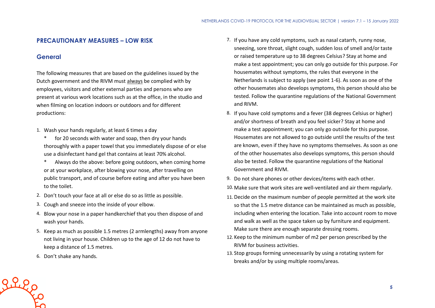## **PRECAUTIONARY MEASURES – LOW RISK**

## **General**

The following measures that are based on the guidelines issued by the Dutch government and the RIVM must always be complied with by employees, visitors and other external parties and persons who are present at various work locations such as at the office, in the studio and when filming on location indoors or outdoors and for different productions:

- 1. Wash your hands regularly, at least 6 times a day
	- \* for 20 seconds with water and soap, then dry your hands thoroughly with a paper towel that you immediately dispose of or else use a disinfectant hand gel that contains at least 70% alcohol.
	- \* Always do the above: before going outdoors, when coming home or at your workplace, after blowing your nose, after travelling on public transport, and of course before eating and after you have been to the toilet.
- 2. Don't touch your face at all or else do so as little as possible.
- 3. Cough and sneeze into the inside of your elbow.
- 4. Blow your nose in a paper handkerchief that you then dispose of and wash your hands.
- 5. Keep as much as possible 1.5 metres (2 armlengths) away from anyone not living in your house. Children up to the age of 12 do not have to keep a distance of 1.5 metres.
- 6. Don't shake any hands.

Riego

- 7. If you have any cold symptoms, such as nasal catarrh, runny nose, sneezing, sore throat, slight cough, sudden loss of smell and/or taste or raised temperature up to 38 degrees Celsius? Stay at home and make a test appointment; you can only go outside for this purpose. For housemates without symptoms, the rules that everyone in the Netherlands is subject to apply (see point 1-6). As soon as one of the other housemates also develops symptoms, this person should also be tested. Follow the quarantine regulations of the National Government and RIVM.
- 8. If you have cold symptoms and a fever (38 degrees Celsius or higher) and/or shortness of breath and you feel sicker? Stay at home and make a test appointment; you can only go outside for this purpose. Housemates are not allowed to go outside until the results of the test are known, even if they have no symptoms themselves. As soon as one of the other housemates also develops symptoms, this person should also be tested. Follow the quarantine regulations of the National Government and RIVM.
- 9. Do not share phones or other devices/items with each other.
- 10. Make sure that work sites are well-ventilated and air them regularly.
- 11. Decide on the maximum number of people permitted at the work site so that the 1.5 metre distance can be maintained as much as possible, including when entering the location. Take into account room to move and walk as well as the space taken up by furniture and equipment. Make sure there are enough separate dressing rooms.
- 12. Keep to the minimum number of m2 per person prescribed by the RIVM for business activities.
- 13. Stop groups forming unnecessarily by using a rotating system for breaks and/or by using multiple rooms/areas.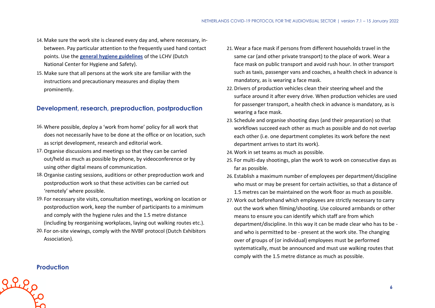- 14. Make sure the work site is cleaned every day and, where necessary, inbetween. Pay particular attention to the frequently used hand contact points. Use the **[general hygiene guidelines](https://www.rivm.nl/hygienerichtlijnen/algemeen)** of the LCHV (Dutch National Center for Hygiene and Safety).
- 15. Make sure that all persons at the work site are familiar with the instructions and precautionary measures and display them prominently.

## **Development, research, preproduction, postproduction**

- 16. Where possible, deploy a 'work from home' policy for all work that does not necessarily have to be done at the office or on location, such as script development, research and editorial work.
- 17.Organise discussions and meetings so that they can be carried out/held as much as possible by phone, by videoconference or by using other digital means of communication.
- 18.Organise casting sessions, auditions or other preproduction work and postproduction work so that these activities can be carried out 'remotely' where possible.
- 19. For necessary site visits, consultation meetings, working on location or postproduction work, keep the number of participants to a minimum and comply with the hygiene rules and the 1.5 metre distance (including by reorganising workplaces, laying out walking routes etc.).
- 20. For on-site viewings, comply with the NVBF protocol (Dutch Exhibitors Association).
- 21. Wear a face mask if persons from different households travel in the same car (and other private transport) to the place of work. Wear a face mask on public transport and avoid rush hour. In other transport such as taxis, passenger vans and coaches, a health check in advance is mandatory, as is wearing a face mask.
- 22. Drivers of production vehicles clean their steering wheel and the surface around it after every drive. When production vehicles are used for passenger transport, a health check in advance is mandatory, as is wearing a face mask.
- 23. Schedule and organise shooting days (and their preparation) so that workflows succeed each other as much as possible and do not overlap each other (i.e. one department completes its work before the next department arrives to start its work).
- 24. Work in set teams as much as possible.
- 25. For multi-day shootings, plan the work to work on consecutive days as far as possible.
- 26. Establish a maximum number of employees per department/discipline who must or may be present for certain activities, so that a distance of 1.5 metres can be maintained on the work floor as much as possible.
- 27. Work out beforehand which employees are strictly necessary to carry out the work when filming/shooting. Use coloured armbands or other means to ensure you can identify which staff are from which department/discipline. In this way it can be made clear who has to be and who is permitted to be - present at the work site. The changing over of groups of (or individual) employees must be performed systematically, must be announced and must use walking routes that comply with the 1.5 metre distance as much as possible.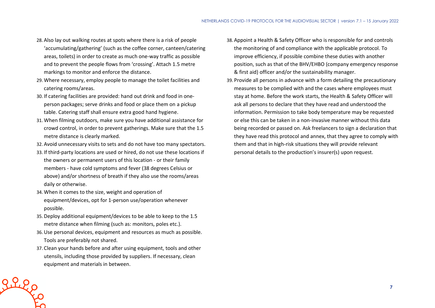- 28. Also lay out walking routes at spots where there is a risk of people 'accumulating/gathering' (such as the coffee corner, canteen/catering areas, toilets) in order to create as much one-way traffic as possible and to prevent the people flows from 'crossing'. Attach 1.5 metre markings to monitor and enforce the distance.
- 29. Where necessary, employ people to manage the toilet facilities and catering rooms/areas.
- 30. If catering facilities are provided: hand out drink and food in oneperson packages; serve drinks and food or place them on a pickup table. Catering staff shall ensure extra good hand hygiene.
- 31. When filming outdoors, make sure you have additional assistance for crowd control, in order to prevent gatherings. Make sure that the 1.5 metre distance is clearly marked.
- 32. Avoid unnecessary visits to sets and do not have too many spectators.
- 33. If third-party locations are used or hired, do not use these locations if the owners or permanent users of this location - or their family members - have cold symptoms and fever (38 degrees Celsius or above) and/or shortness of breath if they also use the rooms/areas daily or otherwise.
- 34. When it comes to the size, weight and operation of equipment/devices, opt for 1-person use/operation whenever possible.
- 35. Deploy additional equipment/devices to be able to keep to the 1.5 metre distance when filming (such as: monitors, poles etc.).
- 36.Use personal devices, equipment and resources as much as possible. Tools are preferably not shared.
- 37. Clean your hands before and after using equipment, tools and other utensils, including those provided by suppliers. If necessary, clean equipment and materials in between.

Riles

- 38. Appoint a Health & Safety Officer who is responsible for and controls the monitoring of and compliance with the applicable protocol. To improve efficiency, if possible combine these duties with another position, such as that of the BHV/EHBO (company emergency response & first aid) officer and/or the sustainability manager.
- 39. Provide all persons in advance with a form detailing the precautionary measures to be complied with and the cases where employees must stay at home. Before the work starts, the Health & Safety Officer will ask all persons to declare that they have read and understood the information. Permission to take body temperature may be requested or else this can be taken in a non-invasive manner without this data being recorded or passed on. Ask freelancers to sign a declaration that they have read this protocol and annex, that they agree to comply with them and that in high-risk situations they will provide relevant personal details to the production's insurer(s) upon request.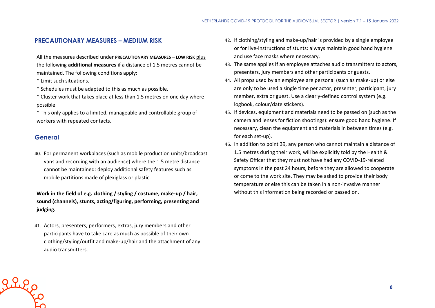#### **PRECAUTIONARY MEASURES – MEDIUM RISK**

All the measures described under **PRECAUTIONARY MEASURES – LOW RISK** plus the following **additional measures** if a distance of 1.5 metres cannot be maintained. The following conditions apply:

- \* Limit such situations.
- \* Schedules must be adapted to this as much as possible.
- \* Cluster work that takes place at less than 1.5 metres on one day where possible.
- \* This only applies to a limited, manageable and controllable group of workers with repeated contacts.

#### **General**

Riles

40. For permanent workplaces (such as mobile production units/broadcast vans and recording with an audience) where the 1.5 metre distance cannot be maintained: deploy additional safety features such as mobile partitions made of plexiglass or plastic.

**Work in the field of e.g. clothing / styling / costume, make-up / hair, sound (channels), stunts, acting/figuring, performing, presenting and judging.**

41. Actors, presenters, performers, extras, jury members and other participants have to take care as much as possible of their own clothing/styling/outfit and make-up/hair and the attachment of any audio transmitters.

- 42. If clothing/styling and make-up/hair is provided by a single employee or for live-instructions of stunts: always maintain good hand hygiene and use face masks where necessary.
- 43. The same applies if an employee attaches audio transmitters to actors, presenters, jury members and other participants or guests.
- 44. All props used by an employee are personal (such as make-up) or else are only to be used a single time per actor, presenter, participant, jury member, extra or guest. Use a clearly-defined control system (e.g. logbook, colour/date stickers).
- 45. If devices, equipment and materials need to be passed on (such as the camera and lenses for fiction shootings): ensure good hand hygiene. If necessary, clean the equipment and materials in between times (e.g. for each set-up).
- 46. In addition to point 39, any person who cannot maintain a distance of 1.5 metres during their work, will be explicitly told by the Health & Safety Officer that they must not have had any COVID-19-related symptoms in the past 24 hours, before they are allowed to cooperate or come to the work site. They may be asked to provide their body temperature or else this can be taken in a non-invasive manner without this information being recorded or passed on.